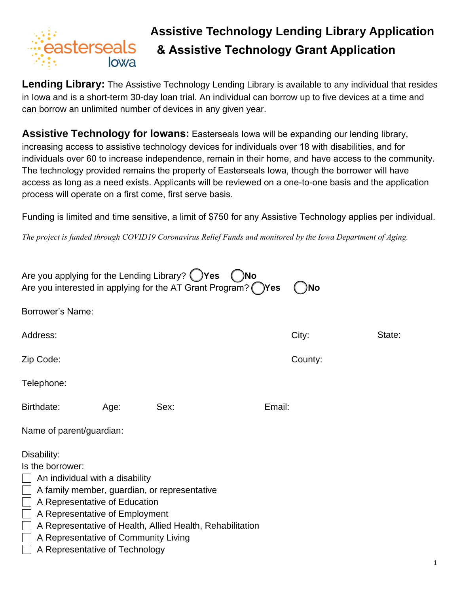

## **Assistive Technology Lending Library Application & Assistive Technology Grant Application**

**Lending Library:** The Assistive Technology Lending Library is available to any individual that resides in Iowa and is a short-term 30-day loan trial. An individual can borrow up to five devices at a time and can borrow an unlimited number of devices in any given year.

**Assistive Technology for Iowans:** Easterseals Iowa will be expanding our lending library, increasing access to assistive technology devices for individuals over 18 with disabilities, and for individuals over 60 to increase independence, remain in their home, and have access to the community. The technology provided remains the property of Easterseals Iowa, though the borrower will have access as long as a need exists. Applicants will be reviewed on a one-to-one basis and the application process will operate on a first come, first serve basis.

Funding is limited and time sensitive, a limit of \$750 for any Assistive Technology applies per individual.

*The project is funded through COVID19 Coronavirus Relief Funds and monitored by the Iowa Department of Aging.*

| Are you applying for the Lending Library? $\bigcirc$ Yes<br>)No<br>Are you interested in applying for the AT Grant Program? () Yes<br>No                                                                        |      |                                                                                                           |        |         |        |  |  |
|-----------------------------------------------------------------------------------------------------------------------------------------------------------------------------------------------------------------|------|-----------------------------------------------------------------------------------------------------------|--------|---------|--------|--|--|
| Borrower's Name:                                                                                                                                                                                                |      |                                                                                                           |        |         |        |  |  |
| Address:                                                                                                                                                                                                        |      |                                                                                                           |        | City:   | State: |  |  |
| Zip Code:                                                                                                                                                                                                       |      |                                                                                                           |        | County: |        |  |  |
| Telephone:                                                                                                                                                                                                      |      |                                                                                                           |        |         |        |  |  |
| Birthdate:                                                                                                                                                                                                      | Age: | Sex:                                                                                                      | Email: |         |        |  |  |
| Name of parent/guardian:                                                                                                                                                                                        |      |                                                                                                           |        |         |        |  |  |
| Disability:<br>Is the borrower:<br>An individual with a disability<br>A Representative of Education<br>A Representative of Employment<br>A Representative of Community Living<br>A Representative of Technology |      | A family member, guardian, or representative<br>A Representative of Health, Allied Health, Rehabilitation |        |         |        |  |  |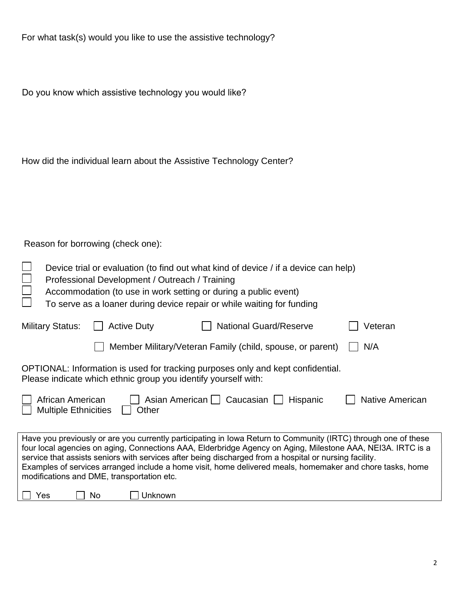|  | For what task(s) would you like to use the assistive technology? |  |
|--|------------------------------------------------------------------|--|
|--|------------------------------------------------------------------|--|

Do you know which assistive technology you would like?

|  |  |  | How did the individual learn about the Assistive Technology Center? |  |  |
|--|--|--|---------------------------------------------------------------------|--|--|
|  |  |  |                                                                     |  |  |

Reason for borrowing (check one):

|                                                                                                                                                                                                                                                                                                                                                                                                                                                                                                    | Device trial or evaluation (to find out what kind of device / if a device can help)<br>Professional Development / Outreach / Training<br>Accommodation (to use in work setting or during a public event)<br>To serve as a loaner during device repair or while waiting for funding |    |                                                                |                                                                                 |  |         |  |
|----------------------------------------------------------------------------------------------------------------------------------------------------------------------------------------------------------------------------------------------------------------------------------------------------------------------------------------------------------------------------------------------------------------------------------------------------------------------------------------------------|------------------------------------------------------------------------------------------------------------------------------------------------------------------------------------------------------------------------------------------------------------------------------------|----|----------------------------------------------------------------|---------------------------------------------------------------------------------|--|---------|--|
|                                                                                                                                                                                                                                                                                                                                                                                                                                                                                                    | <b>Military Status:</b>                                                                                                                                                                                                                                                            |    | <b>Active Duty</b>                                             | <b>National Guard/Reserve</b>                                                   |  | Veteran |  |
|                                                                                                                                                                                                                                                                                                                                                                                                                                                                                                    |                                                                                                                                                                                                                                                                                    |    |                                                                | Member Military/Veteran Family (child, spouse, or parent)                       |  | N/A     |  |
|                                                                                                                                                                                                                                                                                                                                                                                                                                                                                                    |                                                                                                                                                                                                                                                                                    |    | Please indicate which ethnic group you identify yourself with: | OPTIONAL: Information is used for tracking purposes only and kept confidential. |  |         |  |
|                                                                                                                                                                                                                                                                                                                                                                                                                                                                                                    | African American<br>Asian American     Caucasian    <br>Native American<br>Hispanic<br><b>Multiple Ethnicities</b><br>Other                                                                                                                                                        |    |                                                                |                                                                                 |  |         |  |
| Have you previously or are you currently participating in lowa Return to Community (IRTC) through one of these<br>four local agencies on aging, Connections AAA, Elderbridge Agency on Aging, Milestone AAA, NEI3A. IRTC is a<br>service that assists seniors with services after being discharged from a hospital or nursing facility.<br>Examples of services arranged include a home visit, home delivered meals, homemaker and chore tasks, home<br>modifications and DME, transportation etc. |                                                                                                                                                                                                                                                                                    |    |                                                                |                                                                                 |  |         |  |
| Yes                                                                                                                                                                                                                                                                                                                                                                                                                                                                                                |                                                                                                                                                                                                                                                                                    | No | Unknown                                                        |                                                                                 |  |         |  |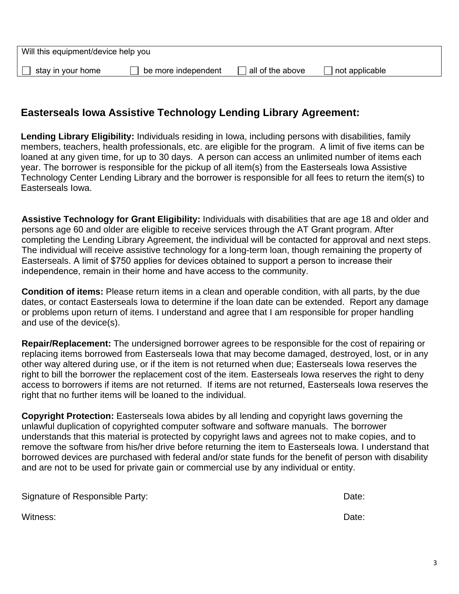| Will this equipment/device help you |                     |                  |                |  |  |
|-------------------------------------|---------------------|------------------|----------------|--|--|
| stay in your home                   | be more independent | all of the above | not applicable |  |  |
|                                     |                     |                  |                |  |  |

## **Easterseals Iowa Assistive Technology Lending Library Agreement:**

**Lending Library Eligibility:** Individuals residing in Iowa, including persons with disabilities, family members, teachers, health professionals, etc. are eligible for the program. A limit of five items can be loaned at any given time, for up to 30 days. A person can access an unlimited number of items each year. The borrower is responsible for the pickup of all item(s) from the Easterseals Iowa Assistive Technology Center Lending Library and the borrower is responsible for all fees to return the item(s) to Easterseals Iowa.

**Assistive Technology for Grant Eligibility:** Individuals with disabilities that are age 18 and older and persons age 60 and older are eligible to receive services through the AT Grant program. After completing the Lending Library Agreement, the individual will be contacted for approval and next steps. The individual will receive assistive technology for a long-term loan, though remaining the property of Easterseals. A limit of \$750 applies for devices obtained to support a person to increase their independence, remain in their home and have access to the community.

**Condition of items:** Please return items in a clean and operable condition, with all parts, by the due dates, or contact Easterseals Iowa to determine if the loan date can be extended. Report any damage or problems upon return of items. I understand and agree that I am responsible for proper handling and use of the device(s).

**Repair/Replacement:** The undersigned borrower agrees to be responsible for the cost of repairing or replacing items borrowed from Easterseals Iowa that may become damaged, destroyed, lost, or in any other way altered during use, or if the item is not returned when due; Easterseals Iowa reserves the right to bill the borrower the replacement cost of the item. Easterseals Iowa reserves the right to deny access to borrowers if items are not returned. If items are not returned, Easterseals Iowa reserves the right that no further items will be loaned to the individual.

**Copyright Protection:** Easterseals Iowa abides by all lending and copyright laws governing the unlawful duplication of copyrighted computer software and software manuals. The borrower understands that this material is protected by copyright laws and agrees not to make copies, and to remove the software from his/her drive before returning the item to Easterseals Iowa. I understand that borrowed devices are purchased with federal and/or state funds for the benefit of person with disability and are not to be used for private gain or commercial use by any individual or entity.

| Signature of Responsible Party: | Date: |
|---------------------------------|-------|
|                                 |       |

Witness: Date: